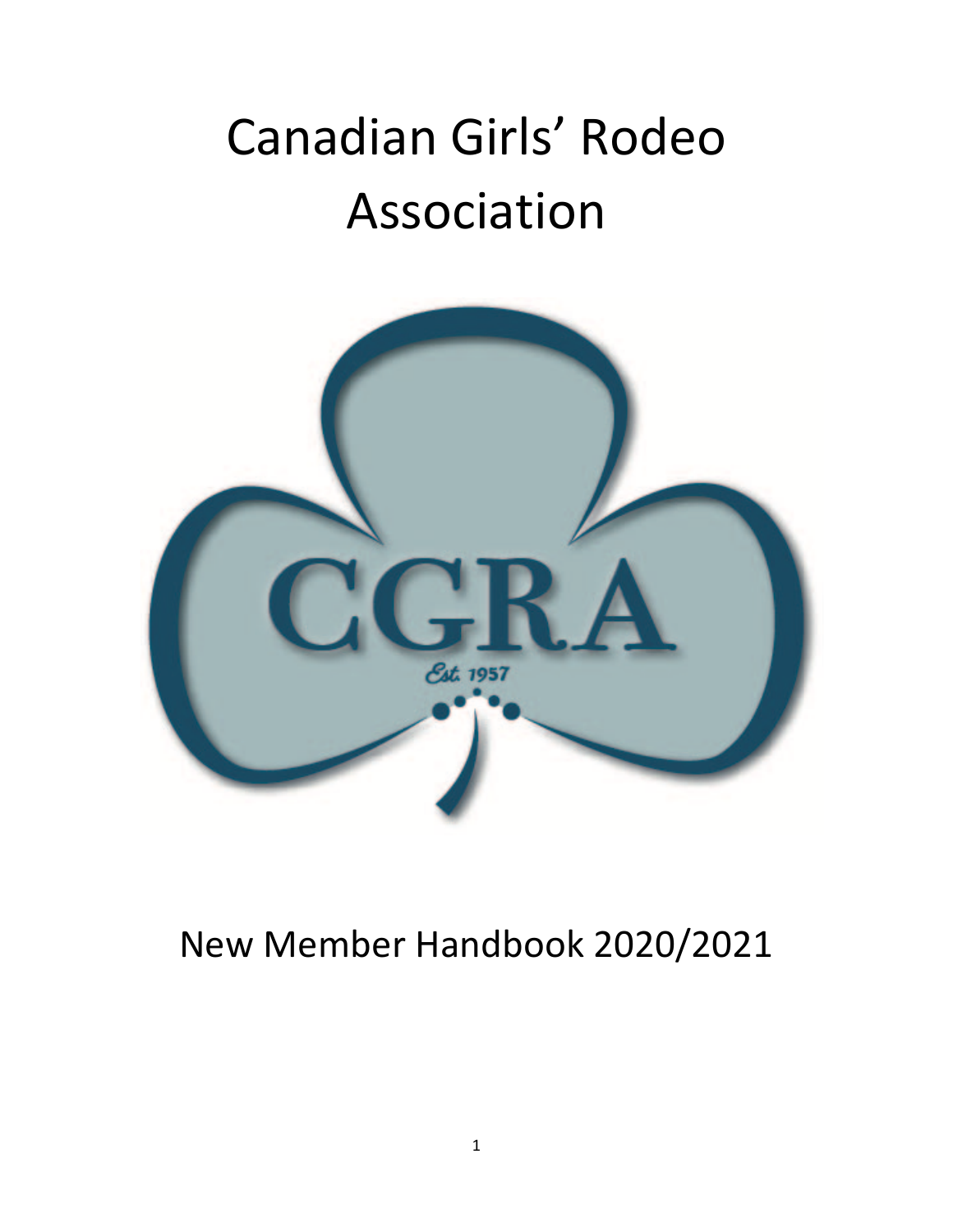# Canadian Girls' Rodeo Association



### New Member Handbook 2020/2021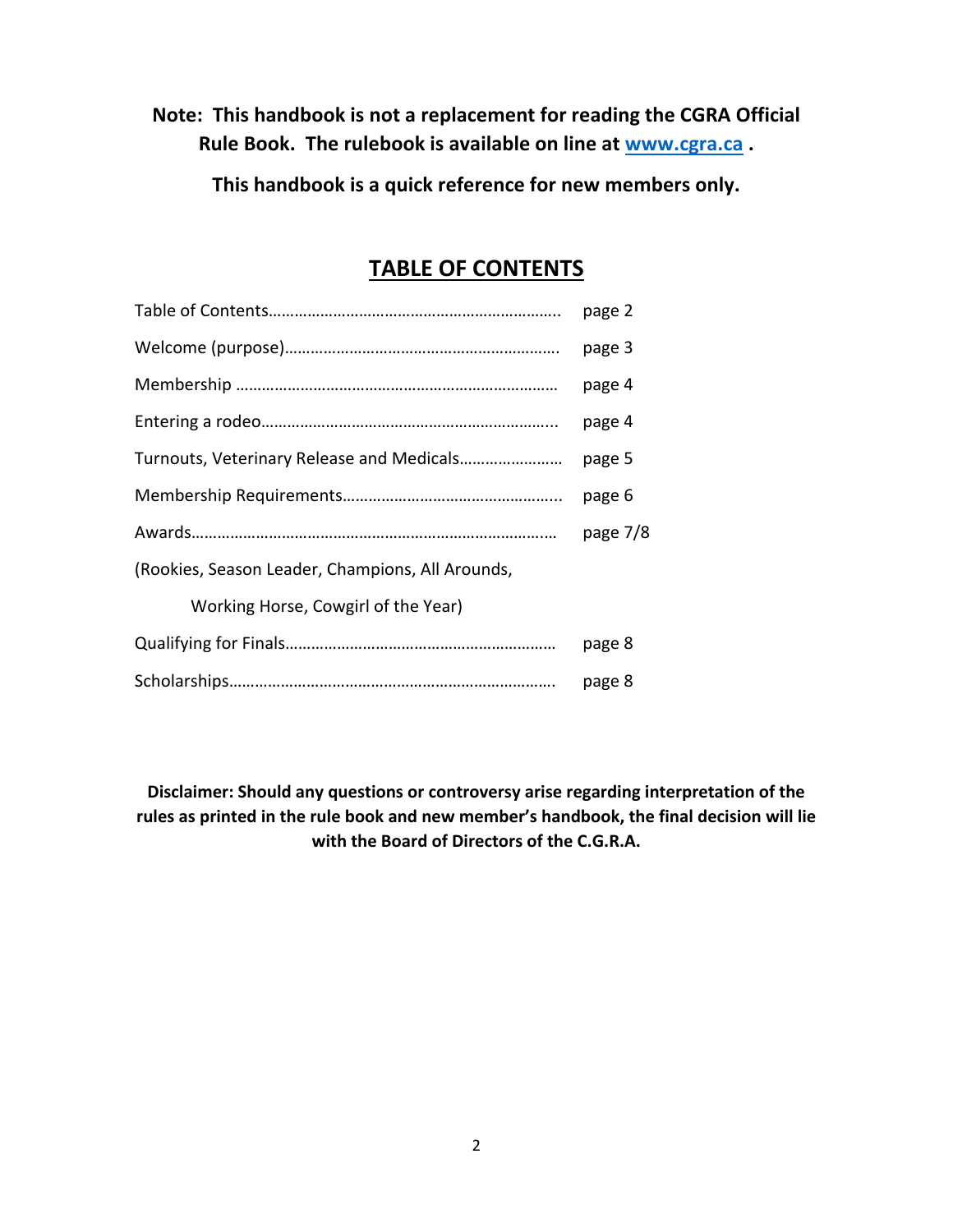#### **Note: This handbook is not a replacement for reading the CGRA Official Rule Book. The rulebook is available on line at www.cgra.ca .**

**This handbook is a quick reference for new members only.**

### **TABLE OF CONTENTS**

|                                                  | page 2   |
|--------------------------------------------------|----------|
|                                                  | page 3   |
|                                                  | page 4   |
|                                                  | page 4   |
|                                                  | page 5   |
|                                                  | page 6   |
|                                                  | page 7/8 |
| (Rookies, Season Leader, Champions, All Arounds, |          |
| Working Horse, Cowgirl of the Year)              |          |
|                                                  | page 8   |
|                                                  | page 8   |

**Disclaimer: Should any questions or controversy arise regarding interpretation of the rules as printed in the rule book and new member's handbook, the final decision will lie with the Board of Directors of the C.G.R.A.**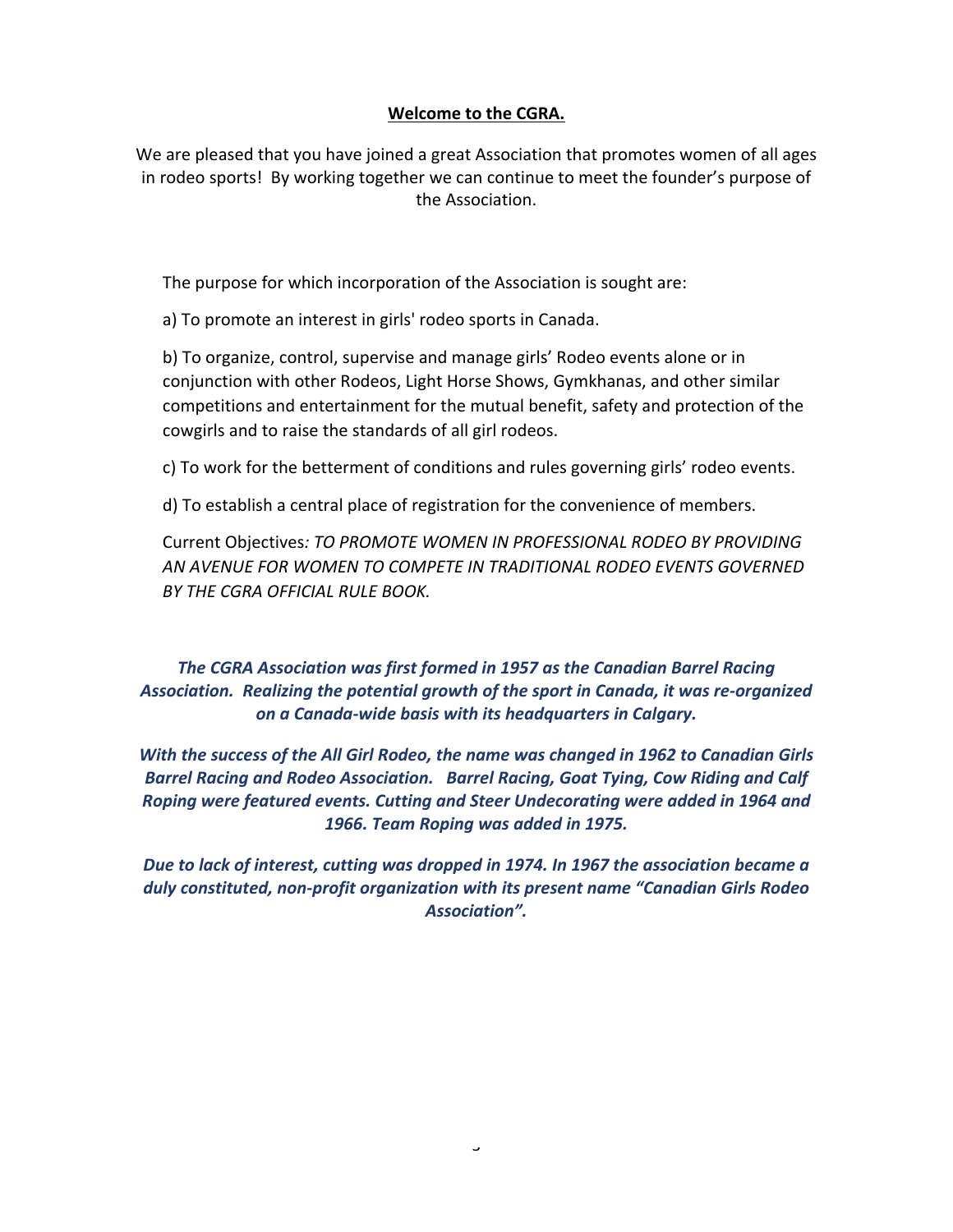#### **Welcome to the CGRA.**

We are pleased that you have joined a great Association that promotes women of all ages in rodeo sports! By working together we can continue to meet the founder's purpose of the Association.

The purpose for which incorporation of the Association is sought are:

a) To promote an interest in girls' rodeo sports in Canada.

b) To organize, control, supervise and manage girls' Rodeo events alone or in conjunction with other Rodeos, Light Horse Shows, Gymkhanas, and other similar competitions and entertainment for the mutual benefit, safety and protection of the cowgirls and to raise the standards of all girl rodeos.

c) To work for the betterment of conditions and rules governing girls' rodeo events.

d) To establish a central place of registration for the convenience of members.

Current Objectives*: TO PROMOTE WOMEN IN PROFESSIONAL RODEO BY PROVIDING AN AVENUE FOR WOMEN TO COMPETE IN TRADITIONAL RODEO EVENTS GOVERNED BY THE CGRA OFFICIAL RULE BOOK.*

*The CGRA Association was first formed in 1957 as the Canadian Barrel Racing Association. Realizing the potential growth of the sport in Canada, it was re-organized on a Canada-wide basis with its headquarters in Calgary.*

*With the success of the All Girl Rodeo, the name was changed in 1962 to Canadian Girls Barrel Racing and Rodeo Association. Barrel Racing, Goat Tying, Cow Riding and Calf Roping were featured events. Cutting and Steer Undecorating were added in 1964 and 1966. Team Roping was added in 1975.*

*Due to lack of interest, cutting was dropped in 1974. In 1967 the association became a duly constituted, non-profit organization with its present name "Canadian Girls Rodeo Association".*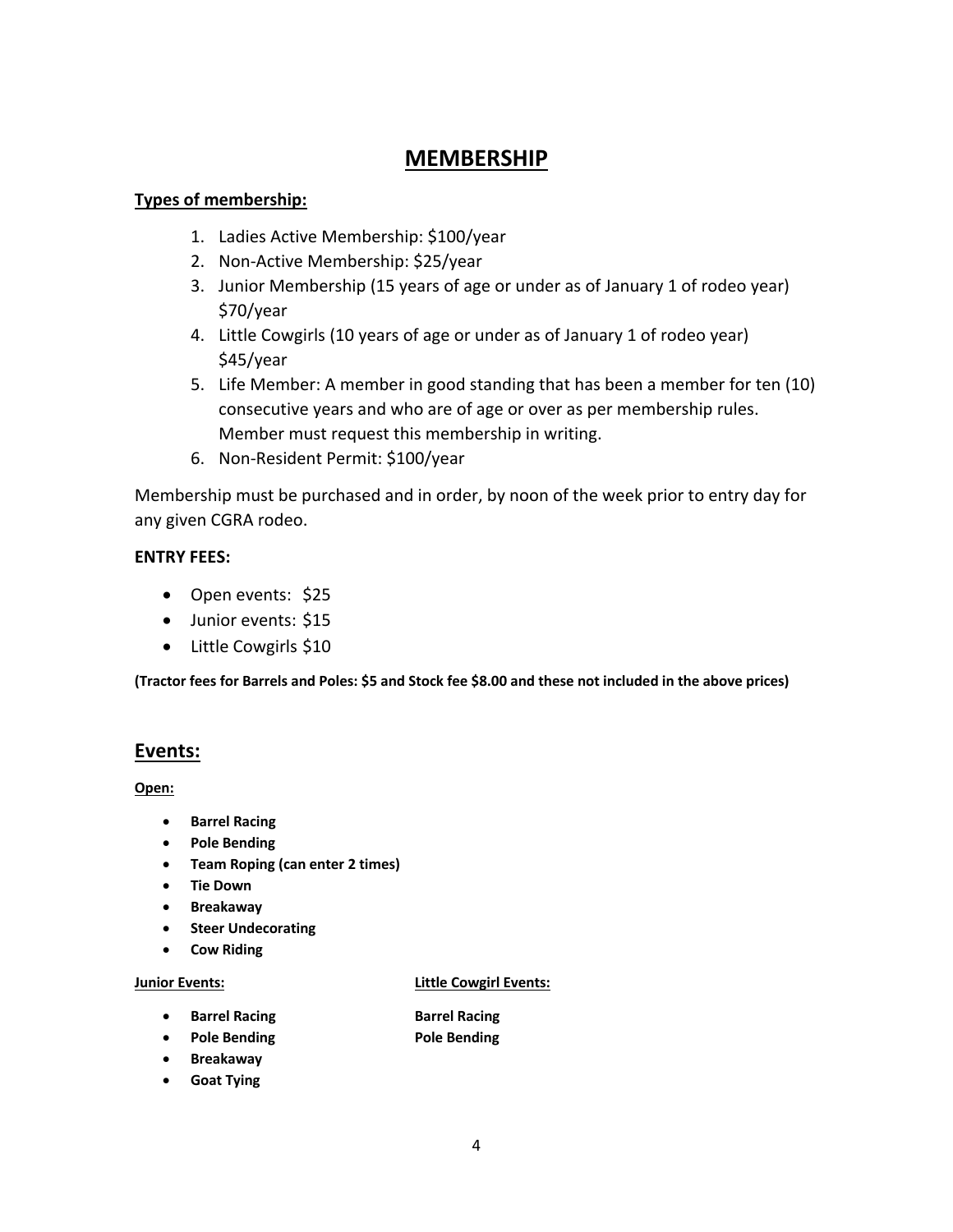#### **MEMBERSHIP**

#### **Types of membership:**

- 1. Ladies Active Membership: \$100/year
- 2. Non-Active Membership: \$25/year
- 3. Junior Membership (15 years of age or under as of January 1 of rodeo year) \$70/year
- 4. Little Cowgirls (10 years of age or under as of January 1 of rodeo year) \$45/year
- 5. Life Member: A member in good standing that has been a member for ten (10) consecutive years and who are of age or over as per membership rules. Member must request this membership in writing.
- 6. Non-Resident Permit: \$100/year

Membership must be purchased and in order, by noon of the week prior to entry day for any given CGRA rodeo.

#### **ENTRY FEES:**

- Open events: \$25
- Junior events: \$15
- Little Cowgirls \$10

**(Tractor fees for Barrels and Poles: \$5 and Stock fee \$8.00 and these not included in the above prices)**

#### **Events:**

**Open:**

- **Barrel Racing**
- **Pole Bending**
- **Team Roping (can enter 2 times)**
- **Tie Down**
- **Breakaway**
- **Steer Undecorating**
- **Cow Riding**

#### **Junior Events: Little Cowgirl Events:**

- **•** Barrel Racing **Barrel Racing**
- **Pole Bending Pole Bending**
- **Breakaway**
- **Goat Tying**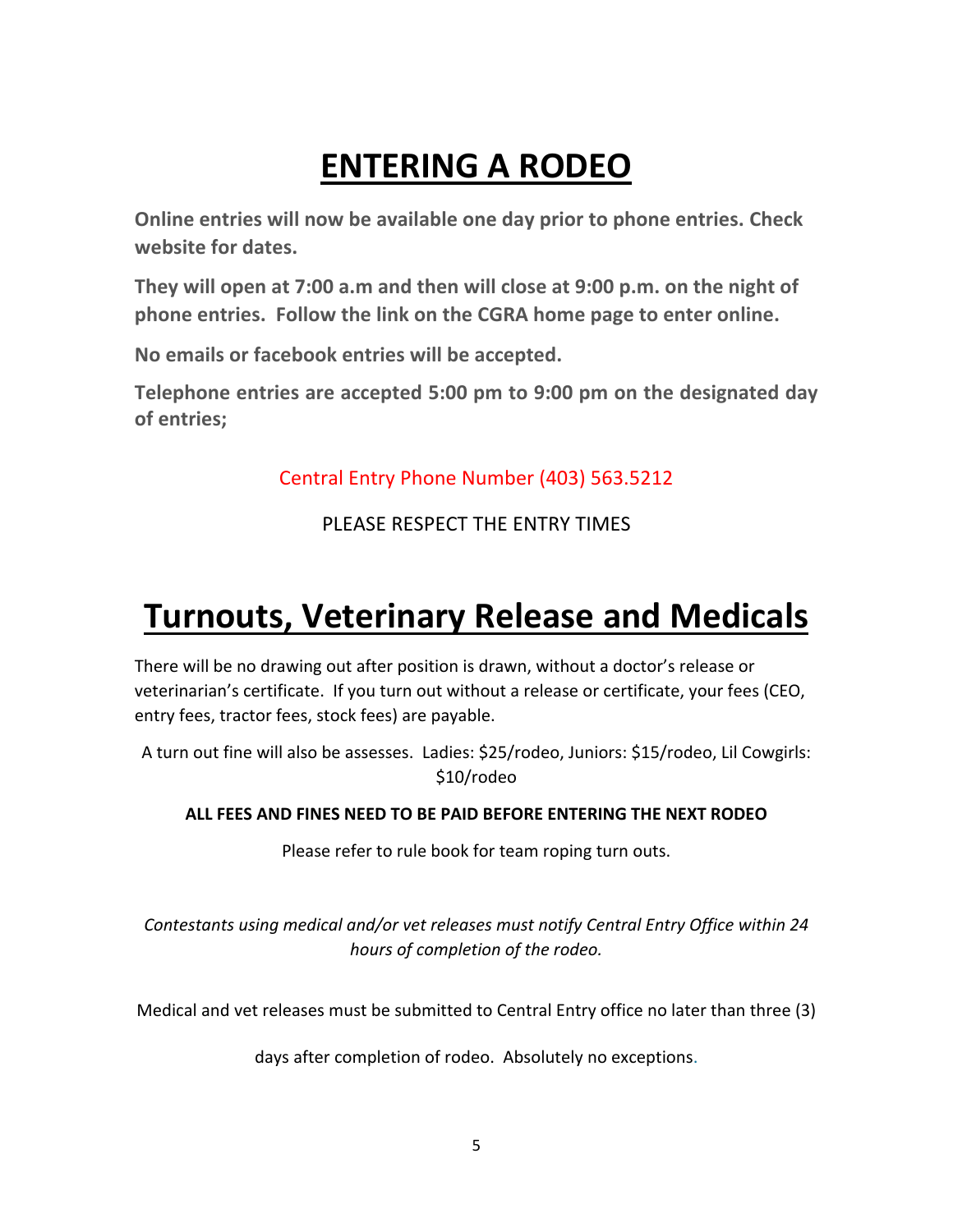## **ENTERING A RODEO**

**Online entries will now be available one day prior to phone entries. Check website for dates.**

**They will open at 7:00 a.m and then will close at 9:00 p.m. on the night of phone entries. Follow the link on the CGRA home page to enter online.**

**No emails or facebook entries will be accepted.**

**Telephone entries are accepted 5:00 pm to 9:00 pm on the designated day of entries;**

Central Entry Phone Number (403) 563.5212

PLEASE RESPECT THE ENTRY TIMES

### **Turnouts, Veterinary Release and Medicals**

There will be no drawing out after position is drawn, without a doctor's release or veterinarian's certificate. If you turn out without a release or certificate, your fees (CEO, entry fees, tractor fees, stock fees) are payable.

A turn out fine will also be assesses. Ladies: \$25/rodeo, Juniors: \$15/rodeo, Lil Cowgirls: \$10/rodeo

#### **ALL FEES AND FINES NEED TO BE PAID BEFORE ENTERING THE NEXT RODEO**

Please refer to rule book for team roping turn outs.

*Contestants using medical and/or vet releases must notify Central Entry Office within 24 hours of completion of the rodeo.*

Medical and vet releases must be submitted to Central Entry office no later than three (3)

days after completion of rodeo. Absolutely no exceptions.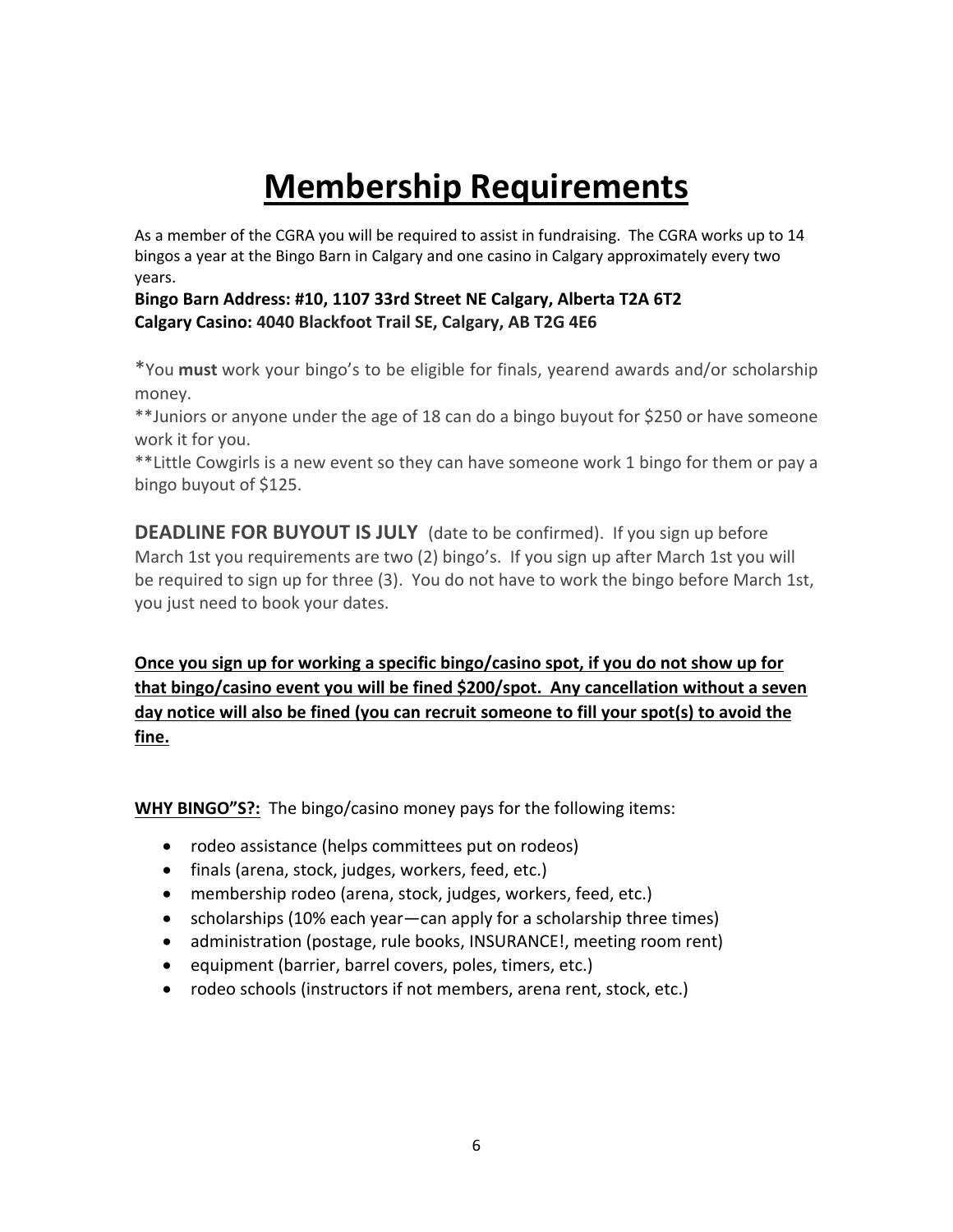### **Membership Requirements**

As a member of the CGRA you will be required to assist in fundraising. The CGRA works up to 14 bingos a year at the Bingo Barn in Calgary and one casino in Calgary approximately every two years.

#### **Bingo Barn Address: #10, 1107 33rd Street NE Calgary, Alberta T2A 6T2 Calgary Casino: 4040 Blackfoot Trail SE, Calgary, AB T2G 4E6**

\*You **must** work your bingo's to be eligible for finals, yearend awards and/or scholarship money.

\*\*Juniors or anyone under the age of 18 can do a bingo buyout for \$250 or have someone work it for you.

\*\*Little Cowgirls is a new event so they can have someone work 1 bingo for them or pay a bingo buyout of \$125.

**DEADLINE FOR BUYOUT IS JULY** (date to be confirmed). If you sign up before March 1st you requirements are two (2) bingo's. If you sign up after March 1st you will be required to sign up for three (3). You do not have to work the bingo before March 1st, you just need to book your dates.

**Once you sign up for working a specific bingo/casino spot, if you do not show up for that bingo/casino event you will be fined \$200/spot. Any cancellation without a seven day notice will also be fined (you can recruit someone to fill your spot(s) to avoid the fine.**

**WHY BINGO"S?:** The bingo/casino money pays for the following items:

- rodeo assistance (helps committees put on rodeos)
- finals (arena, stock, judges, workers, feed, etc.)
- membership rodeo (arena, stock, judges, workers, feed, etc.)
- scholarships (10% each year—can apply for a scholarship three times)
- administration (postage, rule books, INSURANCE!, meeting room rent)
- equipment (barrier, barrel covers, poles, timers, etc.)
- rodeo schools (instructors if not members, arena rent, stock, etc.)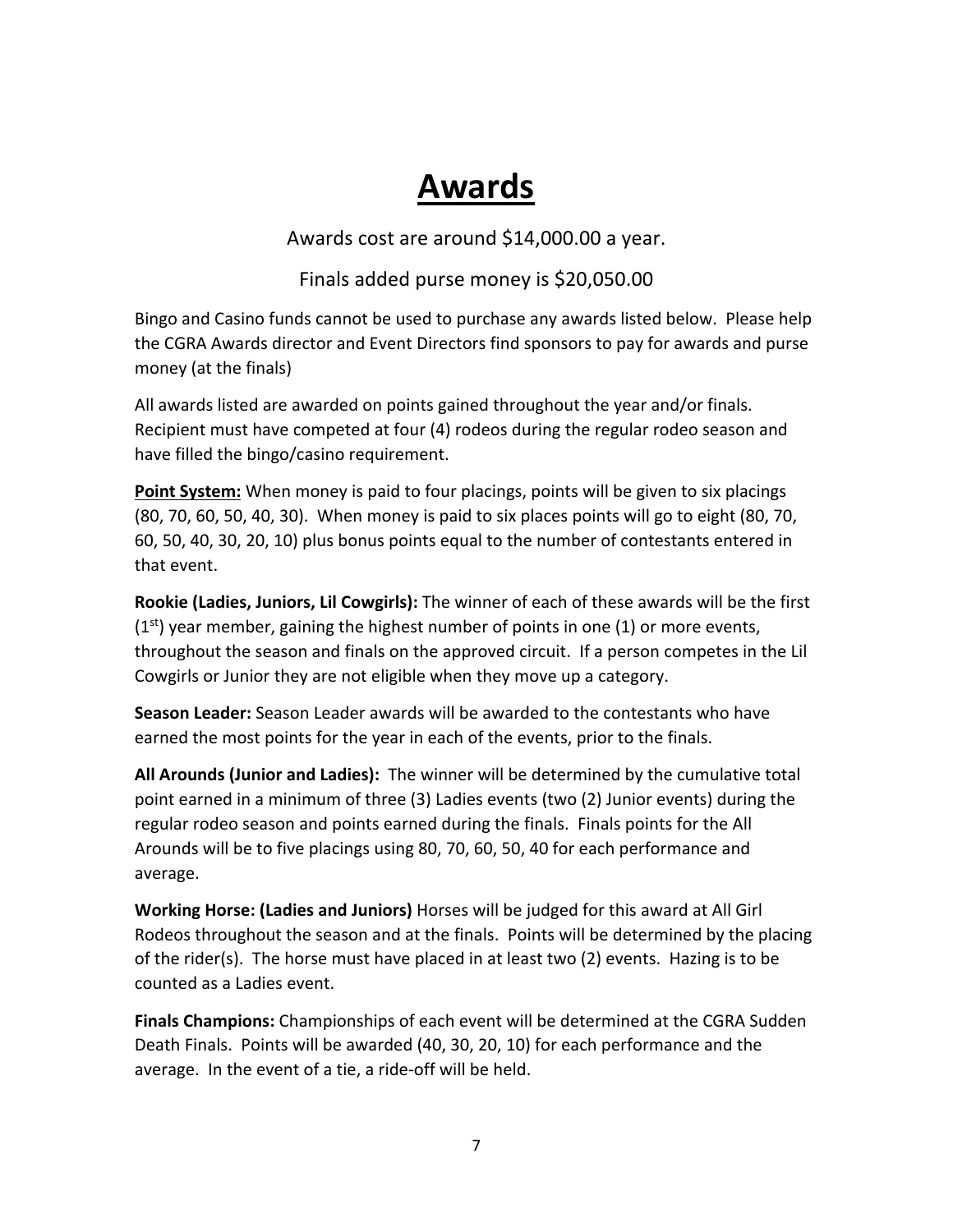### **Awards**

Awards cost are around \$14,000.00 a year.

Finals added purse money is \$20,050.00

Bingo and Casino funds cannot be used to purchase any awards listed below. Please help the CGRA Awards director and Event Directors find sponsors to pay for awards and purse money (at the finals)

All awards listed are awarded on points gained throughout the year and/or finals. Recipient must have competed at four (4) rodeos during the regular rodeo season and have filled the bingo/casino requirement.

**Point System:** When money is paid to four placings, points will be given to six placings (80, 70, 60, 50, 40, 30). When money is paid to six places points will go to eight (80, 70, 60, 50, 40, 30, 20, 10) plus bonus points equal to the number of contestants entered in that event.

**Rookie (Ladies, Juniors, Lil Cowgirls):** The winner of each of these awards will be the first  $(1<sup>st</sup>)$  year member, gaining the highest number of points in one  $(1)$  or more events, throughout the season and finals on the approved circuit. If a person competes in the Lil Cowgirls or Junior they are not eligible when they move up a category.

**Season Leader:** Season Leader awards will be awarded to the contestants who have earned the most points for the year in each of the events, prior to the finals.

**All Arounds (Junior and Ladies):** The winner will be determined by the cumulative total point earned in a minimum of three (3) Ladies events (two (2) Junior events) during the regular rodeo season and points earned during the finals. Finals points for the All Arounds will be to five placings using 80, 70, 60, 50, 40 for each performance and average.

**Working Horse: (Ladies and Juniors)** Horses will be judged for this award at All Girl Rodeos throughout the season and at the finals. Points will be determined by the placing of the rider(s). The horse must have placed in at least two (2) events. Hazing is to be counted as a Ladies event.

**Finals Champions:** Championships of each event will be determined at the CGRA Sudden Death Finals. Points will be awarded (40, 30, 20, 10) for each performance and the average. In the event of a tie, a ride-off will be held.